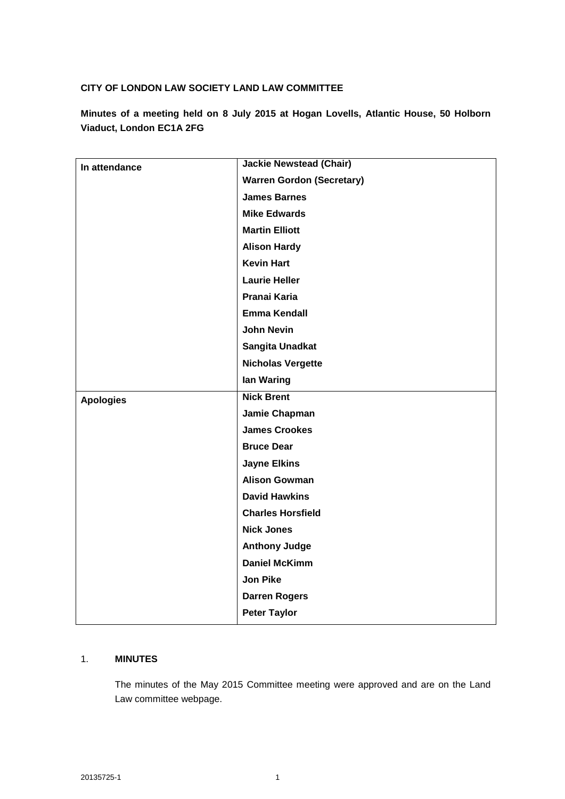## **CITY OF LONDON LAW SOCIETY LAND LAW COMMITTEE**

**Minutes of a meeting held on 8 July 2015 at Hogan Lovells, Atlantic House, 50 Holborn Viaduct, London EC1A 2FG**

| In attendance    | <b>Jackie Newstead (Chair)</b>   |
|------------------|----------------------------------|
|                  | <b>Warren Gordon (Secretary)</b> |
|                  | <b>James Barnes</b>              |
|                  | <b>Mike Edwards</b>              |
|                  | <b>Martin Elliott</b>            |
|                  | <b>Alison Hardy</b>              |
|                  | <b>Kevin Hart</b>                |
|                  | <b>Laurie Heller</b>             |
|                  | Pranai Karia                     |
|                  | <b>Emma Kendall</b>              |
|                  | <b>John Nevin</b>                |
|                  | Sangita Unadkat                  |
|                  | <b>Nicholas Vergette</b>         |
|                  | lan Waring                       |
| <b>Apologies</b> | <b>Nick Brent</b>                |
|                  | Jamie Chapman                    |
|                  | <b>James Crookes</b>             |
|                  | <b>Bruce Dear</b>                |
|                  | <b>Jayne Elkins</b>              |
|                  | <b>Alison Gowman</b>             |
|                  | <b>David Hawkins</b>             |
|                  | <b>Charles Horsfield</b>         |
|                  | <b>Nick Jones</b>                |
|                  | <b>Anthony Judge</b>             |
|                  | <b>Daniel McKimm</b>             |
|                  | <b>Jon Pike</b>                  |
|                  | <b>Darren Rogers</b>             |
|                  | <b>Peter Taylor</b>              |

## 1. **MINUTES**

The minutes of the May 2015 Committee meeting were approved and are on the Land Law committee webpage.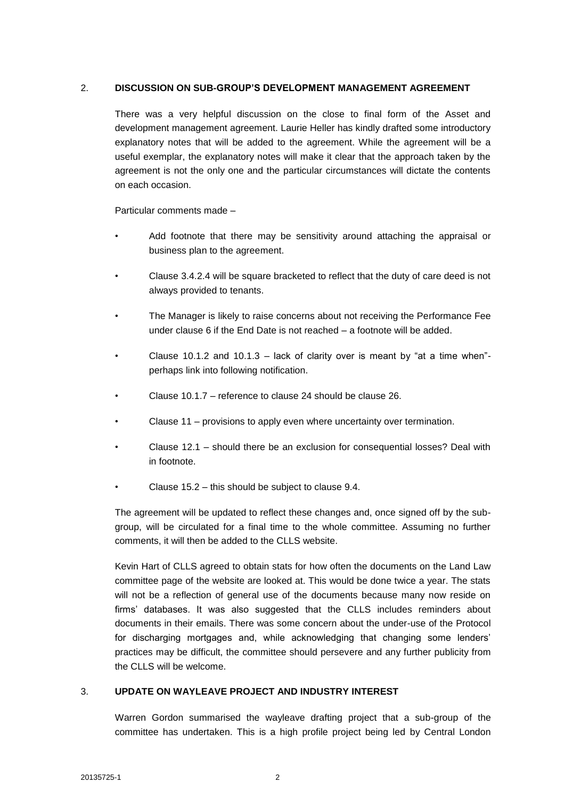### 2. **DISCUSSION ON SUB-GROUP'S DEVELOPMENT MANAGEMENT AGREEMENT**

There was a very helpful discussion on the close to final form of the Asset and development management agreement. Laurie Heller has kindly drafted some introductory explanatory notes that will be added to the agreement. While the agreement will be a useful exemplar, the explanatory notes will make it clear that the approach taken by the agreement is not the only one and the particular circumstances will dictate the contents on each occasion.

Particular comments made –

- Add footnote that there may be sensitivity around attaching the appraisal or business plan to the agreement.
- Clause 3.4.2.4 will be square bracketed to reflect that the duty of care deed is not always provided to tenants.
- The Manager is likely to raise concerns about not receiving the Performance Fee under clause 6 if the End Date is not reached – a footnote will be added.
- Clause 10.1.2 and 10.1.3 lack of clarity over is meant by "at a time when"perhaps link into following notification.
- Clause 10.1.7 reference to clause 24 should be clause 26.
- Clause 11 provisions to apply even where uncertainty over termination.
- Clause 12.1 should there be an exclusion for consequential losses? Deal with in footnote.
- Clause 15.2 this should be subject to clause 9.4.

The agreement will be updated to reflect these changes and, once signed off by the subgroup, will be circulated for a final time to the whole committee. Assuming no further comments, it will then be added to the CLLS website.

Kevin Hart of CLLS agreed to obtain stats for how often the documents on the Land Law committee page of the website are looked at. This would be done twice a year. The stats will not be a reflection of general use of the documents because many now reside on firms' databases. It was also suggested that the CLLS includes reminders about documents in their emails. There was some concern about the under-use of the Protocol for discharging mortgages and, while acknowledging that changing some lenders' practices may be difficult, the committee should persevere and any further publicity from the CLLS will be welcome.

## 3. **UPDATE ON WAYLEAVE PROJECT AND INDUSTRY INTEREST**

Warren Gordon summarised the wayleave drafting project that a sub-group of the committee has undertaken. This is a high profile project being led by Central London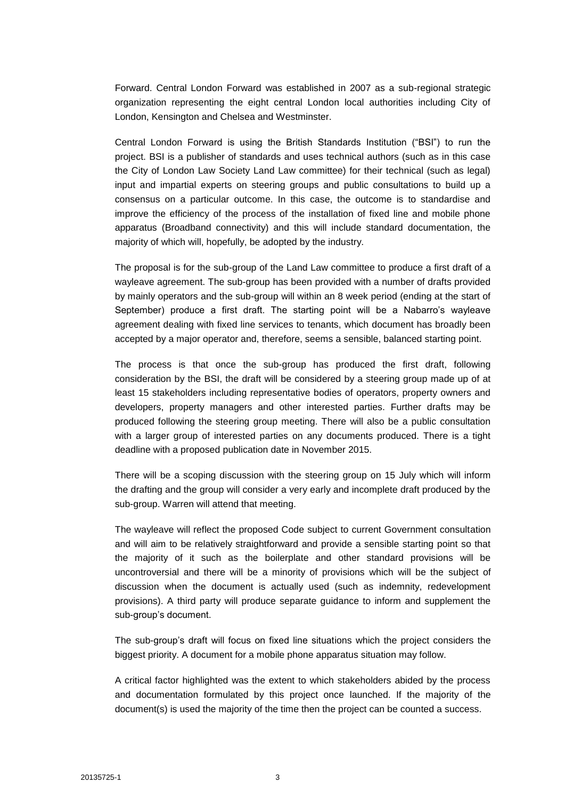Forward. Central London Forward was established in 2007 as a sub-regional strategic organization representing the eight central London local authorities including City of London, Kensington and Chelsea and Westminster.

Central London Forward is using the British Standards Institution ("BSI") to run the project. BSI is a publisher of standards and uses technical authors (such as in this case the City of London Law Society Land Law committee) for their technical (such as legal) input and impartial experts on steering groups and public consultations to build up a consensus on a particular outcome. In this case, the outcome is to standardise and improve the efficiency of the process of the installation of fixed line and mobile phone apparatus (Broadband connectivity) and this will include standard documentation, the majority of which will, hopefully, be adopted by the industry.

The proposal is for the sub-group of the Land Law committee to produce a first draft of a wayleave agreement. The sub-group has been provided with a number of drafts provided by mainly operators and the sub-group will within an 8 week period (ending at the start of September) produce a first draft. The starting point will be a Nabarro's wayleave agreement dealing with fixed line services to tenants, which document has broadly been accepted by a major operator and, therefore, seems a sensible, balanced starting point.

The process is that once the sub-group has produced the first draft, following consideration by the BSI, the draft will be considered by a steering group made up of at least 15 stakeholders including representative bodies of operators, property owners and developers, property managers and other interested parties. Further drafts may be produced following the steering group meeting. There will also be a public consultation with a larger group of interested parties on any documents produced. There is a tight deadline with a proposed publication date in November 2015.

There will be a scoping discussion with the steering group on 15 July which will inform the drafting and the group will consider a very early and incomplete draft produced by the sub-group. Warren will attend that meeting.

The wayleave will reflect the proposed Code subject to current Government consultation and will aim to be relatively straightforward and provide a sensible starting point so that the majority of it such as the boilerplate and other standard provisions will be uncontroversial and there will be a minority of provisions which will be the subject of discussion when the document is actually used (such as indemnity, redevelopment provisions). A third party will produce separate guidance to inform and supplement the sub-group's document.

The sub-group's draft will focus on fixed line situations which the project considers the biggest priority. A document for a mobile phone apparatus situation may follow.

A critical factor highlighted was the extent to which stakeholders abided by the process and documentation formulated by this project once launched. If the majority of the document(s) is used the majority of the time then the project can be counted a success.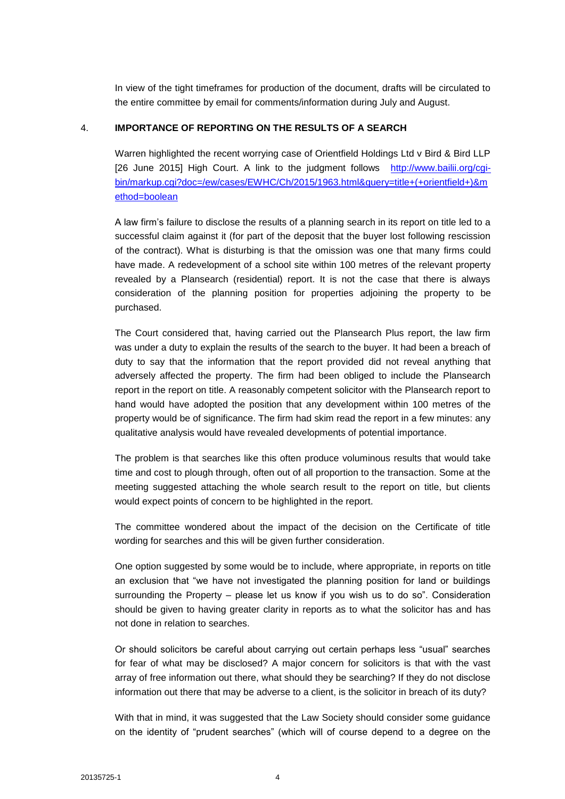In view of the tight timeframes for production of the document, drafts will be circulated to the entire committee by email for comments/information during July and August.

## 4. **IMPORTANCE OF REPORTING ON THE RESULTS OF A SEARCH**

Warren highlighted the recent worrying case of Orientfield Holdings Ltd v Bird & Bird LLP [26 June 2015] High Court. A link to the judgment follows [http://www.bailii.org/cgi](http://www.bailii.org/cgi-bin/markup.cgi?doc=/ew/cases/EWHC/Ch/2015/1963.html&query=title+(+orientfield+)&method=boolean)[bin/markup.cgi?doc=/ew/cases/EWHC/Ch/2015/1963.html&query=title+\(+orientfield+\)&m](http://www.bailii.org/cgi-bin/markup.cgi?doc=/ew/cases/EWHC/Ch/2015/1963.html&query=title+(+orientfield+)&method=boolean) [ethod=boolean](http://www.bailii.org/cgi-bin/markup.cgi?doc=/ew/cases/EWHC/Ch/2015/1963.html&query=title+(+orientfield+)&method=boolean)

A law firm's failure to disclose the results of a planning search in its report on title led to a successful claim against it (for part of the deposit that the buyer lost following rescission of the contract). What is disturbing is that the omission was one that many firms could have made. A redevelopment of a school site within 100 metres of the relevant property revealed by a Plansearch (residential) report. It is not the case that there is always consideration of the planning position for properties adjoining the property to be purchased.

The Court considered that, having carried out the Plansearch Plus report, the law firm was under a duty to explain the results of the search to the buyer. It had been a breach of duty to say that the information that the report provided did not reveal anything that adversely affected the property. The firm had been obliged to include the Plansearch report in the report on title. A reasonably competent solicitor with the Plansearch report to hand would have adopted the position that any development within 100 metres of the property would be of significance. The firm had skim read the report in a few minutes: any qualitative analysis would have revealed developments of potential importance.

The problem is that searches like this often produce voluminous results that would take time and cost to plough through, often out of all proportion to the transaction. Some at the meeting suggested attaching the whole search result to the report on title, but clients would expect points of concern to be highlighted in the report.

The committee wondered about the impact of the decision on the Certificate of title wording for searches and this will be given further consideration.

One option suggested by some would be to include, where appropriate, in reports on title an exclusion that "we have not investigated the planning position for land or buildings surrounding the Property – please let us know if you wish us to do so". Consideration should be given to having greater clarity in reports as to what the solicitor has and has not done in relation to searches.

Or should solicitors be careful about carrying out certain perhaps less "usual" searches for fear of what may be disclosed? A major concern for solicitors is that with the vast array of free information out there, what should they be searching? If they do not disclose information out there that may be adverse to a client, is the solicitor in breach of its duty?

With that in mind, it was suggested that the Law Society should consider some guidance on the identity of "prudent searches" (which will of course depend to a degree on the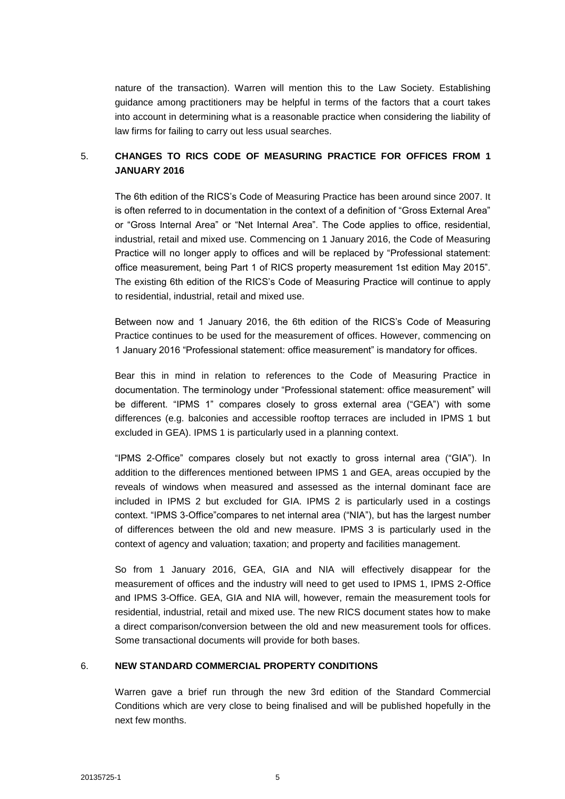nature of the transaction). Warren will mention this to the Law Society. Establishing guidance among practitioners may be helpful in terms of the factors that a court takes into account in determining what is a reasonable practice when considering the liability of law firms for failing to carry out less usual searches.

## 5. **CHANGES TO RICS CODE OF MEASURING PRACTICE FOR OFFICES FROM 1 JANUARY 2016**

The 6th edition of the RICS's Code of Measuring Practice has been around since 2007. It is often referred to in documentation in the context of a definition of "Gross External Area" or "Gross Internal Area" or "Net Internal Area". The Code applies to office, residential, industrial, retail and mixed use. Commencing on 1 January 2016, the Code of Measuring Practice will no longer apply to offices and will be replaced by "Professional statement: office measurement, being Part 1 of RICS property measurement 1st edition May 2015". The existing 6th edition of the RICS's Code of Measuring Practice will continue to apply to residential, industrial, retail and mixed use.

Between now and 1 January 2016, the 6th edition of the RICS's Code of Measuring Practice continues to be used for the measurement of offices. However, commencing on 1 January 2016 "Professional statement: office measurement" is mandatory for offices.

Bear this in mind in relation to references to the Code of Measuring Practice in documentation. The terminology under "Professional statement: office measurement" will be different. "IPMS 1" compares closely to gross external area ("GEA") with some differences (e.g. balconies and accessible rooftop terraces are included in IPMS 1 but excluded in GEA). IPMS 1 is particularly used in a planning context.

"IPMS 2-Office" compares closely but not exactly to gross internal area ("GIA"). In addition to the differences mentioned between IPMS 1 and GEA, areas occupied by the reveals of windows when measured and assessed as the internal dominant face are included in IPMS 2 but excluded for GIA. IPMS 2 is particularly used in a costings context. "IPMS 3-Office"compares to net internal area ("NIA"), but has the largest number of differences between the old and new measure. IPMS 3 is particularly used in the context of agency and valuation; taxation; and property and facilities management.

So from 1 January 2016, GEA, GIA and NIA will effectively disappear for the measurement of offices and the industry will need to get used to IPMS 1, IPMS 2-Office and IPMS 3-Office. GEA, GIA and NIA will, however, remain the measurement tools for residential, industrial, retail and mixed use. The new RICS document states how to make a direct comparison/conversion between the old and new measurement tools for offices. Some transactional documents will provide for both bases.

#### 6. **NEW STANDARD COMMERCIAL PROPERTY CONDITIONS**

Warren gave a brief run through the new 3rd edition of the Standard Commercial Conditions which are very close to being finalised and will be published hopefully in the next few months.